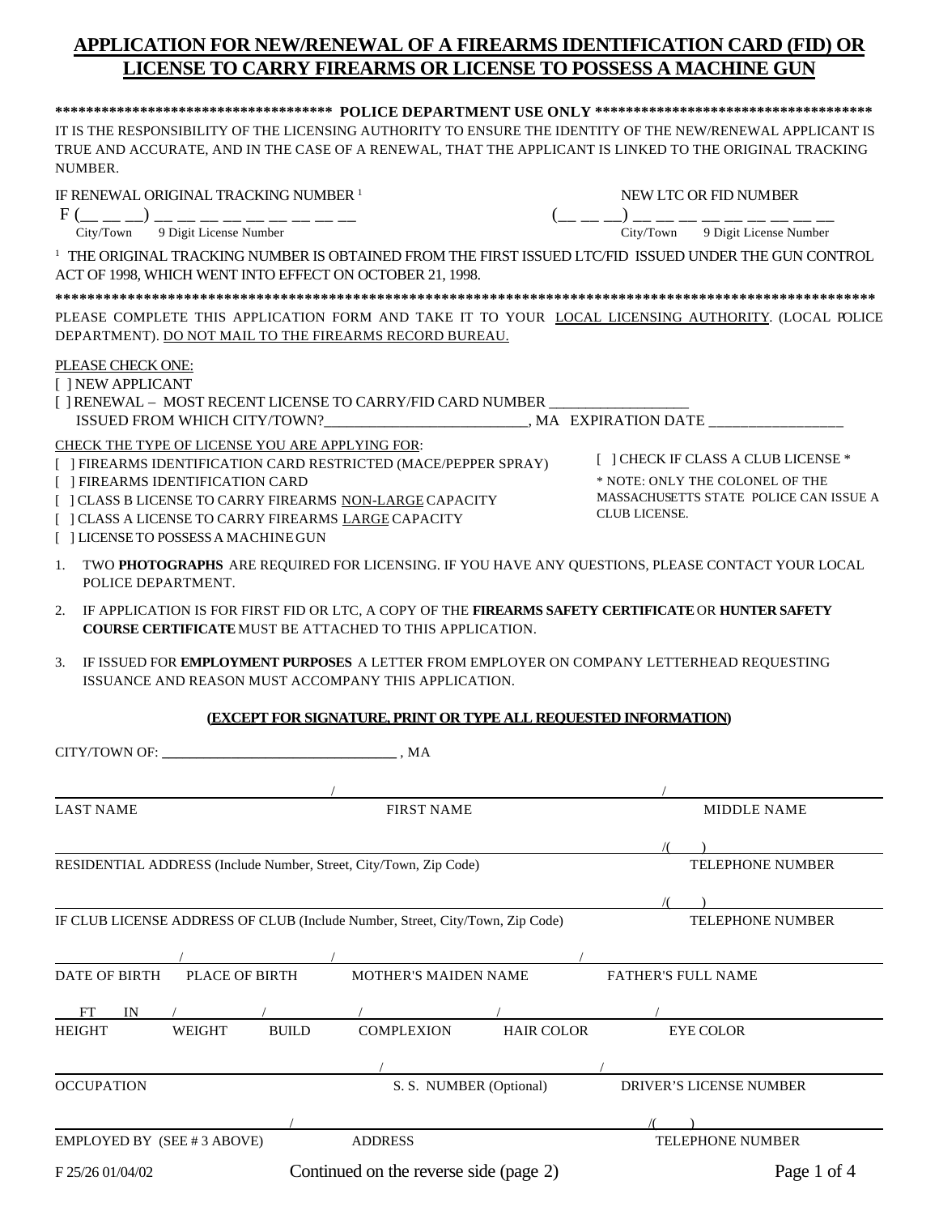## **APPLICATION FOR NEW/RENEWAL OF A FIREARMS IDENTIFICATION CARD (FID) OR LICENSE TO CARRY FIREARMS OR LICENSE TO POSSESS A MACHINE GUN**

| NUMBER.                                                                                                                                                                                                                                                         |                                                                                                | IT IS THE RESPONSIBILITY OF THE LICENSING AUTHORITY TO ENSURE THE IDENTITY OF THE NEW/RENEWAL APPLICANT IS<br>TRUE AND ACCURATE, AND IN THE CASE OF A RENEWAL, THAT THE APPLICANT IS LINKED TO THE ORIGINAL TRACKING |  |  |
|-----------------------------------------------------------------------------------------------------------------------------------------------------------------------------------------------------------------------------------------------------------------|------------------------------------------------------------------------------------------------|----------------------------------------------------------------------------------------------------------------------------------------------------------------------------------------------------------------------|--|--|
| IF RENEWAL ORIGINAL TRACKING NUMBER <sup>1</sup><br>$F($ __ _ _ _) __ __ __ __ __ __ __ __ __                                                                                                                                                                   |                                                                                                | NEW LTC OR FID NUMBER<br>(__ __ __) __ __ __ __ __ __ __ __ __                                                                                                                                                       |  |  |
| City/Town 9 Digit License Number                                                                                                                                                                                                                                |                                                                                                | City/Town 9 Digit License Number                                                                                                                                                                                     |  |  |
| ACT OF 1998, WHICH WENT INTO EFFECT ON OCTOBER 21, 1998.                                                                                                                                                                                                        |                                                                                                | <sup>1</sup> THE ORIGINAL TRACKING NUMBER IS OBTAINED FROM THE FIRST ISSUED LTC/FID ISSUED UNDER THE GUN CONTROL                                                                                                     |  |  |
|                                                                                                                                                                                                                                                                 |                                                                                                |                                                                                                                                                                                                                      |  |  |
| DEPARTMENT). DO NOT MAIL TO THE FIREARMS RECORD BUREAU.                                                                                                                                                                                                         |                                                                                                | PLEASE COMPLETE THIS APPLICATION FORM AND TAKE IT TO YOUR LOCAL LICENSING AUTHORITY. (LOCAL POLICE                                                                                                                   |  |  |
| PLEASE CHECK ONE:                                                                                                                                                                                                                                               |                                                                                                |                                                                                                                                                                                                                      |  |  |
| [ ] NEW APPLICANT<br>[ ] RENEWAL – MOST RECENT LICENSE TO CARRY/FID CARD NUMBER _____________________                                                                                                                                                           |                                                                                                |                                                                                                                                                                                                                      |  |  |
| CHECK THE TYPE OF LICENSE YOU ARE APPLYING FOR:                                                                                                                                                                                                                 |                                                                                                |                                                                                                                                                                                                                      |  |  |
| [ ] FIREARMS IDENTIFICATION CARD RESTRICTED (MACE/PEPPER SPRAY)<br>[ ] FIREARMS IDENTIFICATION CARD<br>[ ] CLASS B LICENSE TO CARRY FIREARMS NON-LARGE CAPACITY<br>[ ] CLASS A LICENSE TO CARRY FIREARMS LARGE CAPACITY<br>[ ] LICENSE TO POSSESS A MACHINE GUN | [ ] CHECK IF CLASS A CLUB LICENSE *<br>* NOTE: ONLY THE COLONEL OF THE<br><b>CLUB LICENSE.</b> | MASSACHUSETTS STATE POLICE CAN ISSUE A                                                                                                                                                                               |  |  |
| 1.<br>POLICE DEPARTMENT.                                                                                                                                                                                                                                        |                                                                                                | TWO PHOTOGRAPHS ARE REQUIRED FOR LICENSING. IF YOU HAVE ANY QUESTIONS, PLEASE CONTACT YOUR LOCAL                                                                                                                     |  |  |
| <b>COURSE CERTIFICATE MUST BE ATTACHED TO THIS APPLICATION.</b>                                                                                                                                                                                                 |                                                                                                | 2. IF APPLICATION IS FOR FIRST FID OR LTC, A COPY OF THE FIREARMS SAFETY CERTIFICATE OR HUNTER SAFETY                                                                                                                |  |  |
| 3.<br>ISSUANCE AND REASON MUST ACCOMPANY THIS APPLICATION.                                                                                                                                                                                                      |                                                                                                | IF ISSUED FOR EMPLOYMENT PURPOSES A LETTER FROM EMPLOYER ON COMPANY LETTERHEAD REQUESTING                                                                                                                            |  |  |
|                                                                                                                                                                                                                                                                 |                                                                                                | (EXCEPT FOR SIGNATURE, PRINT OR TYPE ALL REQUESTED INFORMATION)                                                                                                                                                      |  |  |
|                                                                                                                                                                                                                                                                 |                                                                                                |                                                                                                                                                                                                                      |  |  |
|                                                                                                                                                                                                                                                                 |                                                                                                |                                                                                                                                                                                                                      |  |  |
| LAST NAME                                                                                                                                                                                                                                                       | <b>FIRST NAME</b>                                                                              | <b>MIDDLE NAME</b>                                                                                                                                                                                                   |  |  |
|                                                                                                                                                                                                                                                                 |                                                                                                |                                                                                                                                                                                                                      |  |  |
| RESIDENTIAL ADDRESS (Include Number, Street, City/Town, Zip Code)                                                                                                                                                                                               |                                                                                                | <b>TELEPHONE NUMBER</b>                                                                                                                                                                                              |  |  |
|                                                                                                                                                                                                                                                                 |                                                                                                |                                                                                                                                                                                                                      |  |  |
| IF CLUB LICENSE ADDRESS OF CLUB (Include Number, Street, City/Town, Zip Code)                                                                                                                                                                                   |                                                                                                | <b>TELEPHONE NUMBER</b>                                                                                                                                                                                              |  |  |
| <b>PLACE OF BIRTH</b><br><b>DATE OF BIRTH</b>                                                                                                                                                                                                                   | MOTHER'S MAIDEN NAME                                                                           | <b>FATHER'S FULL NAME</b>                                                                                                                                                                                            |  |  |
| FT<br>IN                                                                                                                                                                                                                                                        |                                                                                                |                                                                                                                                                                                                                      |  |  |
| WEIGHT<br><b>BUILD</b><br><b>HEIGHT</b>                                                                                                                                                                                                                         | <b>COMPLEXION</b>                                                                              | <b>HAIR COLOR</b><br><b>EYE COLOR</b>                                                                                                                                                                                |  |  |
| <b>OCCUPATION</b>                                                                                                                                                                                                                                               | S. S. NUMBER (Optional)                                                                        | <b>DRIVER'S LICENSE NUMBER</b>                                                                                                                                                                                       |  |  |
|                                                                                                                                                                                                                                                                 |                                                                                                |                                                                                                                                                                                                                      |  |  |
| EMPLOYED BY (SEE #3 ABOVE)                                                                                                                                                                                                                                      | <b>ADDRESS</b>                                                                                 | <b>TELEPHONE NUMBER</b>                                                                                                                                                                                              |  |  |

F 25/26 01/04/02 Continued on the reverse side (page 2) Page 1 of 4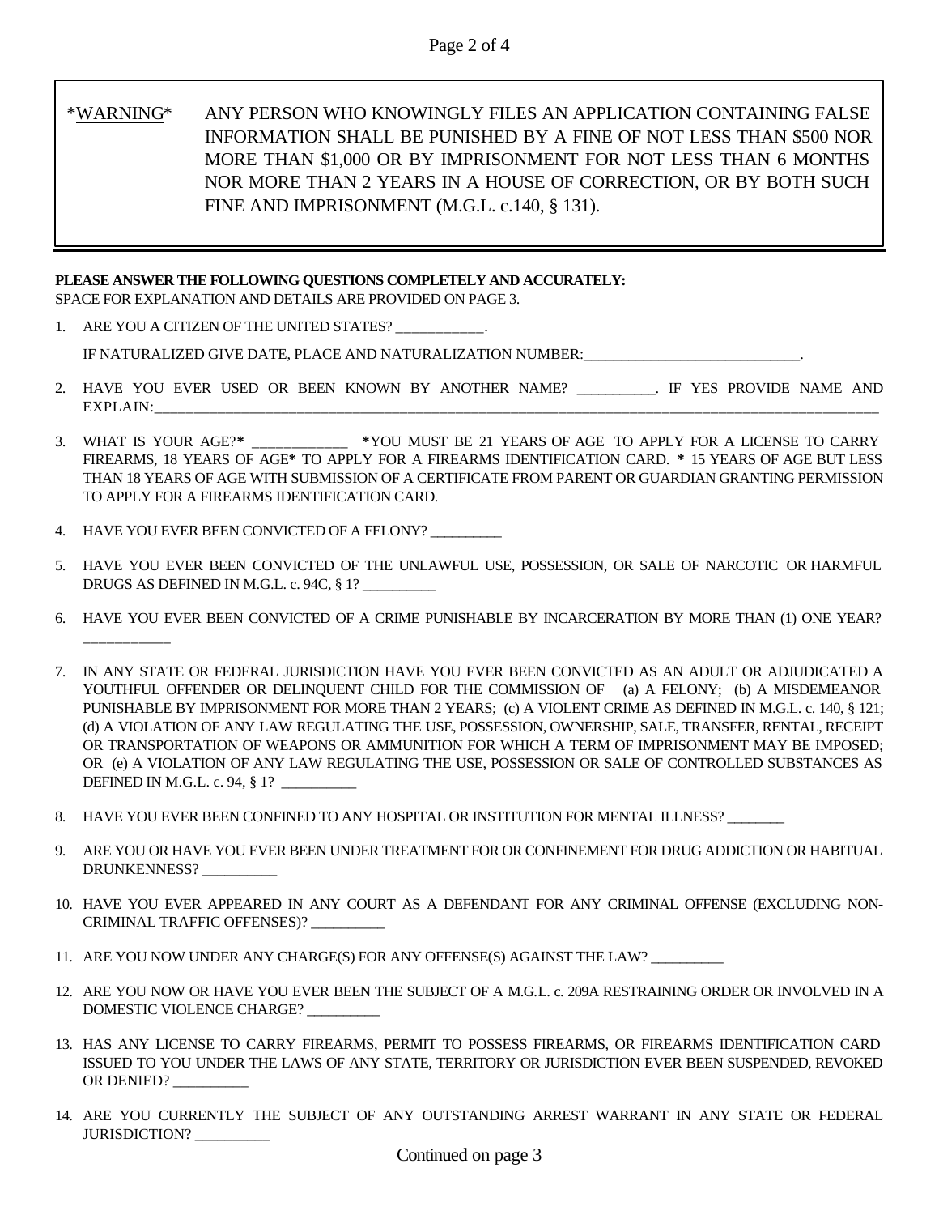## \*WARNING\* ANY PERSON WHO KNOWINGLY FILES AN APPLICATION CONTAINING FALSE INFORMATION SHALL BE PUNISHED BY A FINE OF NOT LESS THAN \$500 NOR MORE THAN \$1,000 OR BY IMPRISONMENT FOR NOT LESS THAN 6 MONTHS NOR MORE THAN 2 YEARS IN A HOUSE OF CORRECTION, OR BY BOTH SUCH FINE AND IMPRISONMENT (M.G.L. c.140, § 131).

#### **PLEASE ANSWER THE FOLLOWING QUESTIONS COMPLETELY AND ACCURATELY:**

SPACE FOR EXPLANATION AND DETAILS ARE PROVIDED ON PAGE 3.

1. ARE YOU A CITIZEN OF THE UNITED STATES?

IF NATURALIZED GIVE DATE, PLACE AND NATURALIZATION NUMBER:

- 2. HAVE YOU EVER USED OR BEEN KNOWN BY ANOTHER NAME? \_\_\_\_\_\_\_\_\_\_\_. IF YES PROVIDE NAME AND EXPLAIN:
- 3. WHAT IS YOUR AGE?**\*** \_\_\_\_\_\_\_\_\_\_\_\_ **\***YOU MUST BE 21 YEARS OF AGE TO APPLY FOR A LICENSE TO CARRY FIREARMS, 18 YEARS OF AGE**\*** TO APPLY FOR A FIREARMS IDENTIFICATION CARD. **\*** 15 YEARS OF AGE BUT LESS THAN 18 YEARS OF AGE WITH SUBMISSION OF A CERTIFICATE FROM PARENT OR GUARDIAN GRANTING PERMISSION TO APPLY FOR A FIREARMS IDENTIFICATION CARD.
- 4. HAVE YOU EVER BEEN CONVICTED OF A FELONY?

\_\_\_\_\_\_\_\_\_\_\_

- 5. HAVE YOU EVER BEEN CONVICTED OF THE UNLAWFUL USE, POSSESSION, OR SALE OF NARCOTIC OR HARMFUL DRUGS AS DEFINED IN M.G.L. c. 94C, § 1? \_\_\_\_\_\_\_\_\_\_
- 6. HAVE YOU EVER BEEN CONVICTED OF A CRIME PUNISHABLE BY INCARCERATION BY MORE THAN (1) ONE YEAR?
- 7. IN ANY STATE OR FEDERAL JURISDICTION HAVE YOU EVER BEEN CONVICTED AS AN ADULT OR ADJUDICATED A YOUTHFUL OFFENDER OR DELINQUENT CHILD FOR THE COMMISSION OF (a) A FELONY; (b) A MISDEMEANOR PUNISHABLE BY IMPRISONMENT FOR MORE THAN 2 YEARS; (c) A VIOLENT CRIME AS DEFINED IN M.G.L. c. 140, § 121; (d) A VIOLATION OF ANY LAW REGULATING THE USE, POSSESSION, OWNERSHIP, SALE, TRANSFER, RENTAL, RECEIPT OR TRANSPORTATION OF WEAPONS OR AMMUNITION FOR WHICH A TERM OF IMPRISONMENT MAY BE IMPOSED; OR (e) A VIOLATION OF ANY LAW REGULATING THE USE, POSSESSION OR SALE OF CONTROLLED SUBSTANCES AS DEFINED IN M.G.L. c. 94, § 1? \_\_\_\_\_\_\_\_\_\_
- 8. HAVE YOU EVER BEEN CONFINED TO ANY HOSPITAL OR INSTITUTION FOR MENTAL ILLNESS?
- 9. ARE YOU OR HAVE YOU EVER BEEN UNDER TREATMENT FOR OR CONFINEMENT FOR DRUG ADDICTION OR HABITUAL DRUNKENNESS? \_\_\_\_\_\_\_\_\_\_
- 10. HAVE YOU EVER APPEARED IN ANY COURT AS A DEFENDANT FOR ANY CRIMINAL OFFENSE (EXCLUDING NON-CRIMINAL TRAFFIC OFFENSES)? \_\_\_\_\_\_\_\_\_\_
- 11. ARE YOU NOW UNDER ANY CHARGE(S) FOR ANY OFFENSE(S) AGAINST THE LAW?
- 12. ARE YOU NOW OR HAVE YOU EVER BEEN THE SUBJECT OF A M.G.L. c. 209A RESTRAINING ORDER OR INVOLVED IN A DOMESTIC VIOLENCE CHARGE? \_\_\_\_\_\_\_\_\_\_
- 13. HAS ANY LICENSE TO CARRY FIREARMS, PERMIT TO POSSESS FIREARMS, OR FIREARMS IDENTIFICATION CARD ISSUED TO YOU UNDER THE LAWS OF ANY STATE, TERRITORY OR JURISDICTION EVER BEEN SUSPENDED, REVOKED OR DENIED?
- 14. ARE YOU CURRENTLY THE SUBJECT OF ANY OUTSTANDING ARREST WARRANT IN ANY STATE OR FEDERAL JURISDICTION?\_\_\_\_\_\_\_\_\_\_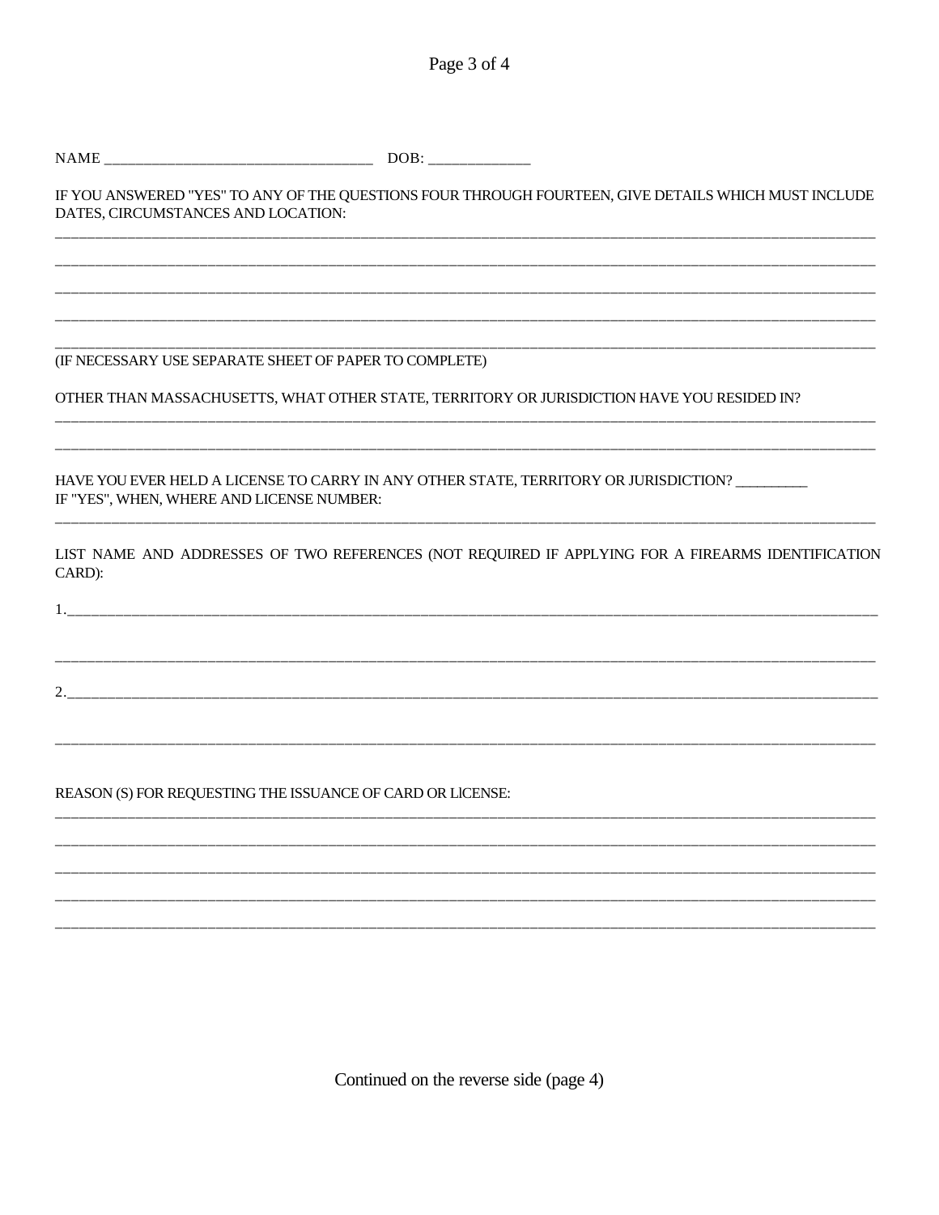Page 3 of 4

| DATES, CIRCUMSTANCES AND LOCATION:                         | IF YOU ANSWERED "YES" TO ANY OF THE QUESTIONS FOUR THROUGH FOURTEEN, GIVE DETAILS WHICH MUST INCLUDE |
|------------------------------------------------------------|------------------------------------------------------------------------------------------------------|
|                                                            |                                                                                                      |
|                                                            |                                                                                                      |
| (IF NECESSARY USE SEPARATE SHEET OF PAPER TO COMPLETE)     | OTHER THAN MASSACHUSETTS, WHAT OTHER STATE, TERRITORY OR JURISDICTION HAVE YOU RESIDED IN?           |
| IF "YES", WHEN, WHERE AND LICENSE NUMBER:                  | HAVE YOU EVER HELD A LICENSE TO CARRY IN ANY OTHER STATE, TERRITORY OR JURISDICTION? _________       |
| CARD):                                                     | LIST NAME AND ADDRESSES OF TWO REFERENCES (NOT REQUIRED IF APPLYING FOR A FIREARMS IDENTIFICATION    |
|                                                            |                                                                                                      |
|                                                            |                                                                                                      |
| REASON (S) FOR REQUESTING THE ISSUANCE OF CARD OR LICENSE: |                                                                                                      |
|                                                            |                                                                                                      |
|                                                            |                                                                                                      |

Continued on the reverse side (page 4)